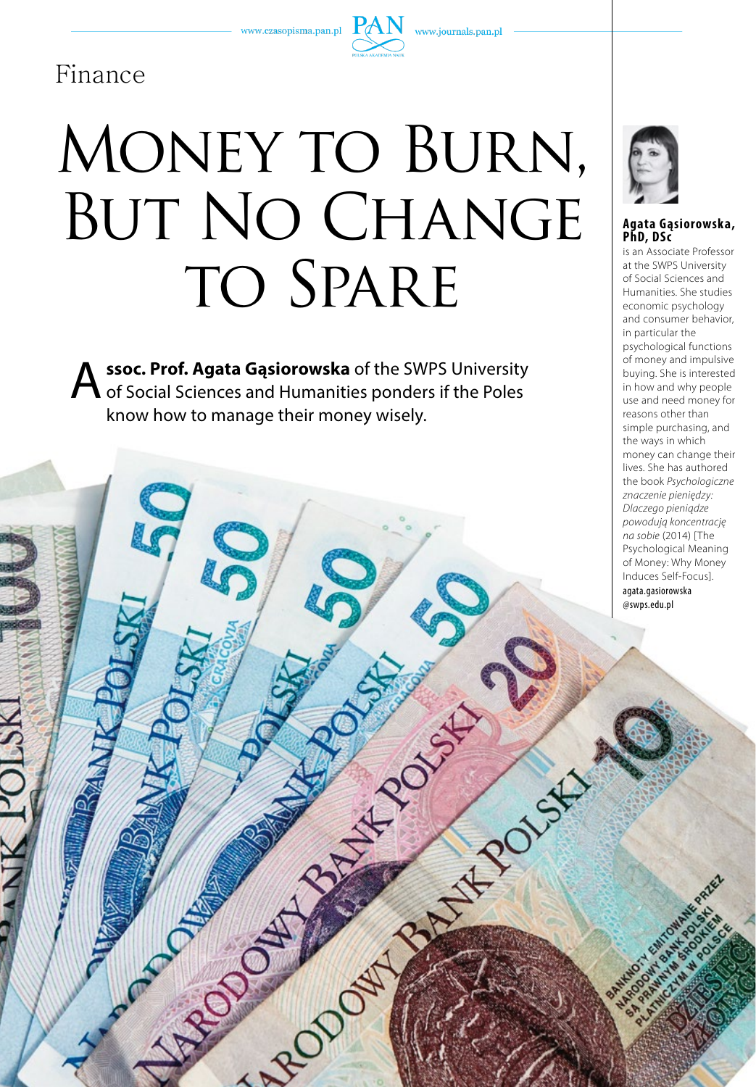www.czasopisma.pan.pl



RIVER CAR

# Finance

# MONEY TO BURN, BUT NO CHANGE TO SPARE

**A** ssoc. Prof. Agata Gąsiorowska of the SWPS University of Social Sciences and Humanities ponders if the Poles know how to manage their money wisely.



# **Agata Gąsiorowska, PhD, DSc**

is an Associate Professor at the SWPS University of Social Sciences and Humanities. She studies economic psychology and consumer behavior, in particular the psychological functions of money and impulsive buying. She is interested in how and why people use and need money for reasons other than simple purchasing, and the ways in which money can change their lives. She has authored the book *Psychologiczne znaczenie pieniędzy: Dlaczego pieniądze powodują koncentrację na sobie* (2014) [The Psychological Meaning of Money: Why Money Induces Self-Focus]. agata.gasiorowska @swps.edu.pl

**11 t h e m a g a z i n e o f t h e p a s** 1/57/2018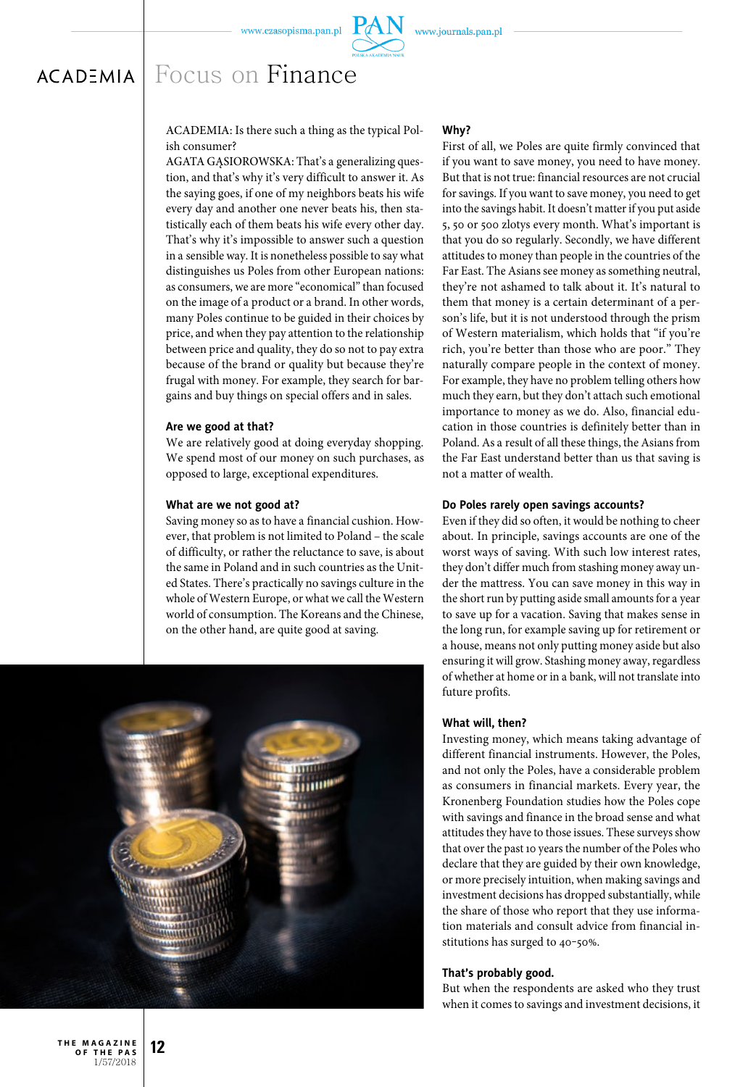

ACADEMIA: Is there such a thing as the typical Polish consumer?

AGATA GĄSIOROWSKA: That's a generalizing question, and that's why it's very difficult to answer it. As the saying goes, if one of my neighbors beats his wife every day and another one never beats his, then statistically each of them beats his wife every other day. That's why it's impossible to answer such a question in a sensible way. It is nonetheless possible to say what distinguishes us Poles from other European nations: as consumers, we are more "economical" than focused on the image of a product or a brand. In other words, many Poles continue to be guided in their choices by price, and when they pay attention to the relationship between price and quality, they do so not to pay extra because of the brand or quality but because they're frugal with money. For example, they search for bargains and buy things on special offers and in sales.

#### **Are we good at that?**

We are relatively good at doing everyday shopping. We spend most of our money on such purchases, as opposed to large, exceptional expenditures.

#### **What are we not good at?**

Saving money so as to have a financial cushion. However, that problem is not limited to Poland – the scale of difficulty, or rather the reluctance to save, is about the same in Poland and in such countries as the United States. There's practically no savings culture in the whole of Western Europe, or what we call the Western world of consumption. The Koreans and the Chinese, on the other hand, are quite good at saving.



#### **Why?**

First of all, we Poles are quite firmly convinced that if you want to save money, you need to have money. But that is not true: financial resources are not crucial for savings. If you want to save money, you need to get into the savings habit. It doesn't matter if you put aside 5, 50 or 500 zlotys every month. What's important is that you do so regularly. Secondly, we have different attitudes to money than people in the countries of the Far East. The Asians see money as something neutral, they're not ashamed to talk about it. It's natural to them that money is a certain determinant of a person's life, but it is not understood through the prism of Western materialism, which holds that "if you're rich, you're better than those who are poor." They naturally compare people in the context of money. For example, they have no problem telling others how much they earn, but they don't attach such emotional importance to money as we do. Also, financial education in those countries is definitely better than in Poland. As a result of all these things, the Asians from the Far East understand better than us that saving is not a matter of wealth.

#### **Do Poles rarely open savings accounts?**

Even if they did so often, it would be nothing to cheer about. In principle, savings accounts are one of the worst ways of saving. With such low interest rates, they don't differ much from stashing money away under the mattress. You can save money in this way in the short run by putting aside small amounts for a year to save up for a vacation. Saving that makes sense in the long run, for example saving up for retirement or a house, means not only putting money aside but also ensuring it will grow. Stashing money away, regardless of whether at home or in a bank, will not translate into future profits.

#### **What will, then?**

Investing money, which means taking advantage of different financial instruments. However, the Poles, and not only the Poles, have a considerable problem as consumers in financial markets. Every year, the Kronenberg Foundation studies how the Poles cope with savings and finance in the broad sense and what attitudes they have to those issues. These surveys show that over the past 10 years the number of the Poles who declare that they are guided by their own knowledge, or more precisely intuition, when making savings and investment decisions has dropped substantially, while the share of those who report that they use information materials and consult advice from financial institutions has surged to 40-50%.

#### **That's probably good.**

But when the respondents are asked who they trust when it comes to savings and investment decisions, it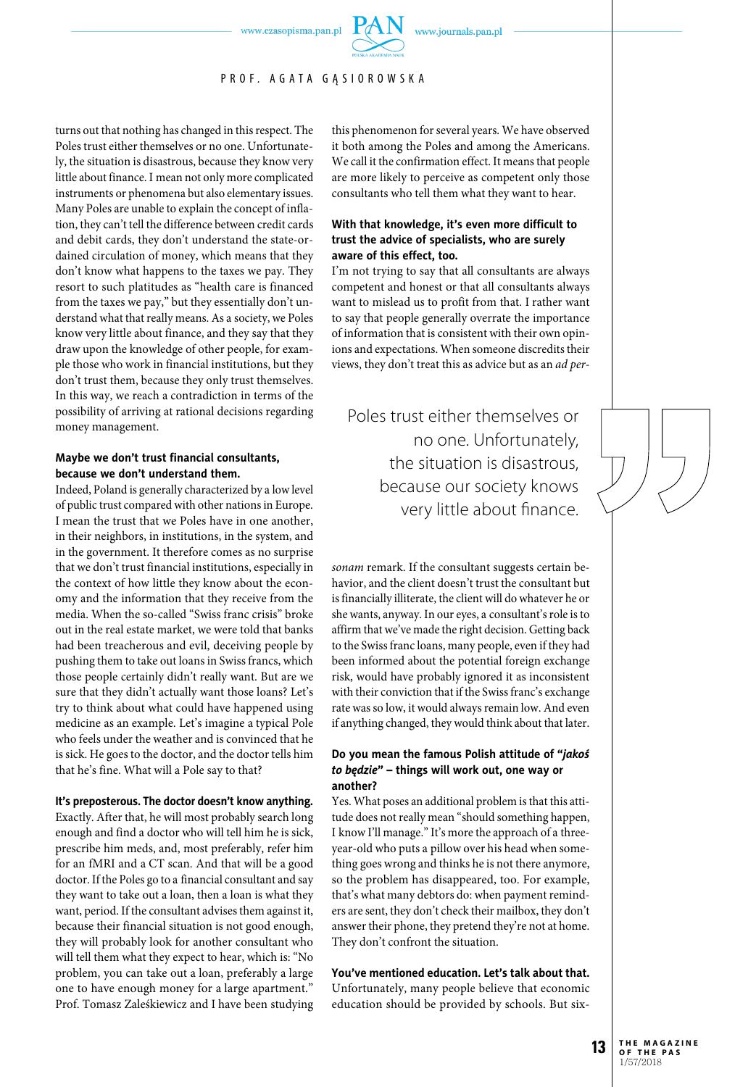www.czasopisma.pan.pl

PR OF. A GATA GASIOROWSKA

turns out that nothing has changed in this respect. The Poles trust either themselves or no one. Unfortunately, the situation is disastrous, because they know very little about finance. I mean not only more complicated instruments or phenomena but also elementary issues. Many Poles are unable to explain the concept of inflation, they can't tell the difference between credit cards and debit cards, they don't understand the state-ordained circulation of money, which means that they don't know what happens to the taxes we pay. They resort to such platitudes as "health care is financed from the taxes we pay," but they essentially don't understand what that really means. As a society, we Poles know very little about finance, and they say that they draw upon the knowledge of other people, for example those who work in financial institutions, but they don't trust them, because they only trust themselves. In this way, we reach a contradiction in terms of the possibility of arriving at rational decisions regarding money management.

#### **Maybe we don't trust financial consultants, because we don't understand them.**

Indeed, Poland is generally characterized by a low level of public trust compared with other nations in Europe. I mean the trust that we Poles have in one another, in their neighbors, in institutions, in the system, and in the government. It therefore comes as no surprise that we don't trust financial institutions, especially in the context of how little they know about the economy and the information that they receive from the media. When the so-called "Swiss franc crisis" broke out in the real estate market, we were told that banks had been treacherous and evil, deceiving people by pushing them to take out loans in Swiss francs, which those people certainly didn't really want. But are we sure that they didn't actually want those loans? Let's try to think about what could have happened using medicine as an example. Let's imagine a typical Pole who feels under the weather and is convinced that he is sick. He goes to the doctor, and the doctor tells him that he's fine. What will a Pole say to that?

#### **It's preposterous. The doctor doesn't know anything.**

Exactly. After that, he will most probably search long enough and find a doctor who will tell him he is sick, prescribe him meds, and, most preferably, refer him for an fMRI and a CT scan. And that will be a good doctor. If the Poles go to a financial consultant and say they want to take out a loan, then a loan is what they want, period. If the consultant advises them against it, because their financial situation is not good enough, they will probably look for another consultant who will tell them what they expect to hear, which is: "No problem, you can take out a loan, preferably a large one to have enough money for a large apartment." Prof. Tomasz Zaleśkiewicz and I have been studying

this phenomenon for several years. We have observed it both among the Poles and among the Americans. We call it the confirmation effect. It means that people are more likely to perceive as competent only those consultants who tell them what they want to hear.

# **With that knowledge, it's even more difficult to trust the advice of specialists, who are surely aware of this effect, too.**

I'm not trying to say that all consultants are always competent and honest or that all consultants always want to mislead us to profit from that. I rather want to say that people generally overrate the importance of information that is consistent with their own opinions and expectations. When someone discredits their views, they don't treat this as advice but as an *ad per-*

Poles trust either themselves or no one. Unfortunately, the situation is disastrous, because our society knows very little about finance.

*sonam* remark. If the consultant suggests certain behavior, and the client doesn't trust the consultant but is financially illiterate, the client will do whatever he or she wants, anyway. In our eyes, a consultant's role is to affirm that we've made the right decision. Getting back to the Swiss franc loans, many people, even if they had been informed about the potential foreign exchange risk, would have probably ignored it as inconsistent with their conviction that if the Swiss franc's exchange rate was so low, it would always remain low. And even if anything changed, they would think about that later.

#### **Do you mean the famous Polish attitude of "***jakoś to będzie***" – things will work out, one way or another?**

Yes. What poses an additional problem is that this attitude does not really mean "should something happen, I know I'll manage." It's more the approach of a threeyear-old who puts a pillow over his head when something goes wrong and thinks he is not there anymore, so the problem has disappeared, too. For example, that's what many debtors do: when payment reminders are sent, they don't check their mailbox, they don't answer their phone, they pretend they're not at home. They don't confront the situation.

**You've mentioned education. Let's talk about that.** Unfortunately, many people believe that economic education should be provided by schools. But six-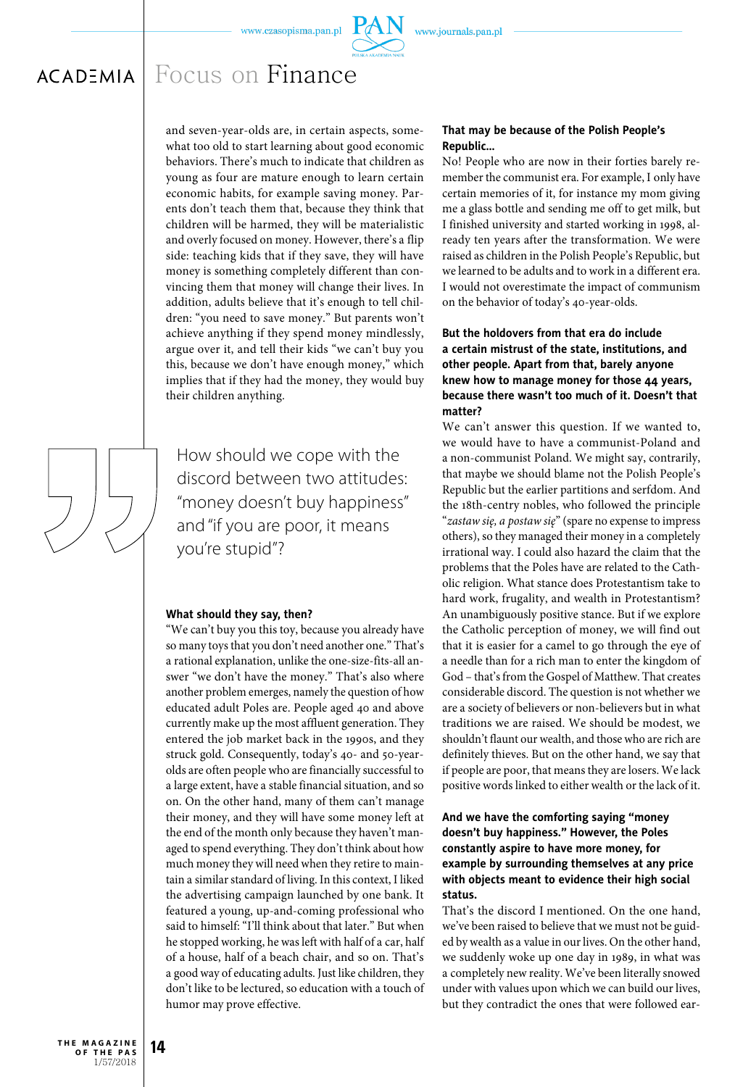

#### Focus on Finance $ACAD<sup>2</sup>MIA$

and seven-year-olds are, in certain aspects, somewhat too old to start learning about good economic behaviors. There's much to indicate that children as young as four are mature enough to learn certain economic habits, for example saving money. Parents don't teach them that, because they think that children will be harmed, they will be materialistic and overly focused on money. However, there's a flip side: teaching kids that if they save, they will have money is something completely different than convincing them that money will change their lives. In addition, adults believe that it's enough to tell children: "you need to save money." But parents won't achieve anything if they spend money mindlessly, argue over it, and tell their kids "we can't buy you this, because we don't have enough money," which implies that if they had the money, they would buy their children anything.

How should we cope with the discord between two attitudes: "money doesn't buy happiness" and "if you are poor, it means you're stupid"?

#### **What should they say, then?**

"We can't buy you this toy, because you already have so many toys that you don't need another one." That's a rational explanation, unlike the one-size-fits-all answer "we don't have the money." That's also where another problem emerges, namely the question of how educated adult Poles are. People aged 40 and above currently make up the most affluent generation. They entered the job market back in the 1990s, and they struck gold. Consequently, today's 40- and 50-yearolds are often people who are financially successful to a large extent, have a stable financial situation, and so on. On the other hand, many of them can't manage their money, and they will have some money left at the end of the month only because they haven't managed to spend everything. They don't think about how much money they will need when they retire to maintain a similar standard of living. In this context, I liked the advertising campaign launched by one bank. It featured a young, up-and-coming professional who said to himself: "I'll think about that later." But when he stopped working, he was left with half of a car, half of a house, half of a beach chair, and so on. That's a good way of educating adults. Just like children, they don't like to be lectured, so education with a touch of humor may prove effective.

#### **That may be because of the Polish People's Republic…**

No! People who are now in their forties barely remember the communist era. For example, I only have certain memories of it, for instance my mom giving me a glass bottle and sending me off to get milk, but I finished university and started working in 1998, already ten years after the transformation. We were raised as children in the Polish People's Republic, but we learned to be adults and to work in a different era. I would not overestimate the impact of communism on the behavior of today's 40-year-olds.

# **But the holdovers from that era do include a certain mistrust of the state, institutions, and other people. Apart from that, barely anyone knew how to manage money for those 44 years, because there wasn't too much of it. Doesn't that matter?**

We can't answer this question. If we wanted to, we would have to have a communist-Poland and a non-communist Poland. We might say, contrarily, that maybe we should blame not the Polish People's Republic but the earlier partitions and serfdom. And the 18th-centry nobles, who followed the principle "*zastaw się, a postaw się*" (spare no expense to impress others), so they managed their money in a completely irrational way. I could also hazard the claim that the problems that the Poles have are related to the Catholic religion. What stance does Protestantism take to hard work, frugality, and wealth in Protestantism? An unambiguously positive stance. But if we explore the Catholic perception of money, we will find out that it is easier for a camel to go through the eye of a needle than for a rich man to enter the kingdom of God – that's from the Gospel of Matthew. That creates considerable discord. The question is not whether we are a society of believers or non-believers but in what traditions we are raised. We should be modest, we shouldn't flaunt our wealth, and those who are rich are definitely thieves. But on the other hand, we say that if people are poor, that means they are losers. We lack positive words linked to either wealth or the lack of it.

# **And we have the comforting saying "money doesn't buy happiness." However, the Poles constantly aspire to have more money, for example by surrounding themselves at any price with objects meant to evidence their high social status.**

That's the discord I mentioned. On the one hand, we've been raised to believe that we must not be guided by wealth as a value in our lives. On the other hand, we suddenly woke up one day in 1989, in what was a completely new reality. We've been literally snowed under with values upon which we can build our lives, but they contradict the ones that were followed ear